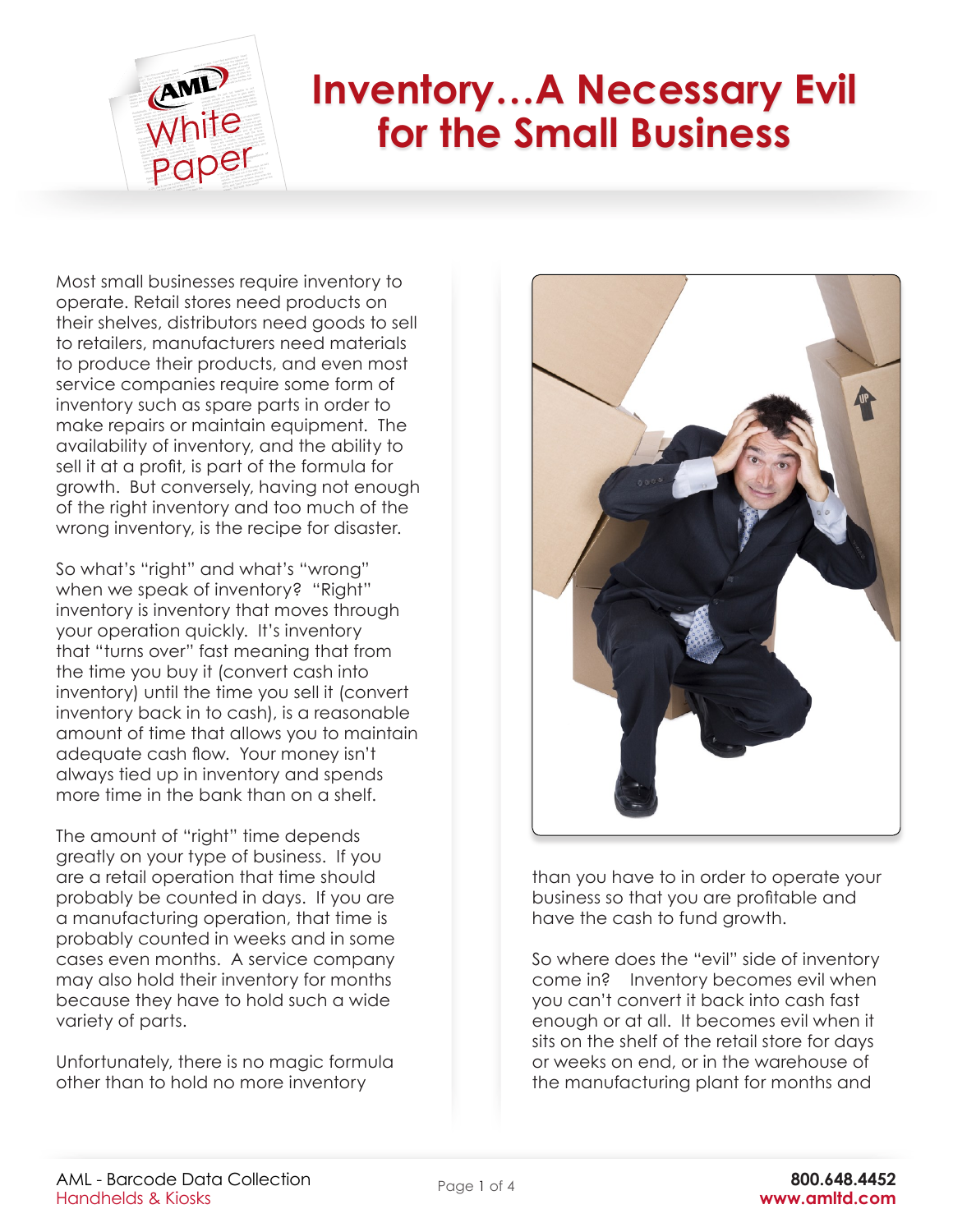

## **Inventory…A Necessary Evil for the Small Business**

Most small businesses require inventory to operate. Retail stores need products on their shelves, distributors need goods to sell to retailers, manufacturers need materials to produce their products, and even most service companies require some form of inventory such as spare parts in order to make repairs or maintain equipment. The availability of inventory, and the ability to sell it at a profit, is part of the formula for growth. But conversely, having not enough of the right inventory and too much of the wrong inventory, is the recipe for disaster.

So what's "right" and what's "wrong" when we speak of inventory? "Right" inventory is inventory that moves through your operation quickly. It's inventory that "turns over" fast meaning that from the time you buy it (convert cash into inventory) until the time you sell it (convert inventory back in to cash), is a reasonable amount of time that allows you to maintain adequate cash flow. Your money isn't always tied up in inventory and spends more time in the bank than on a shelf.

The amount of "right" time depends greatly on your type of business. If you are a retail operation that time should probably be counted in days. If you are a manufacturing operation, that time is probably counted in weeks and in some cases even months. A service company may also hold their inventory for months because they have to hold such a wide variety of parts.

Unfortunately, there is no magic formula other than to hold no more inventory



than you have to in order to operate your business so that you are profitable and have the cash to fund growth.

So where does the "evil" side of inventory come in? Inventory becomes evil when you can't convert it back into cash fast enough or at all. It becomes evil when it sits on the shelf of the retail store for days or weeks on end, or in the warehouse of the manufacturing plant for months and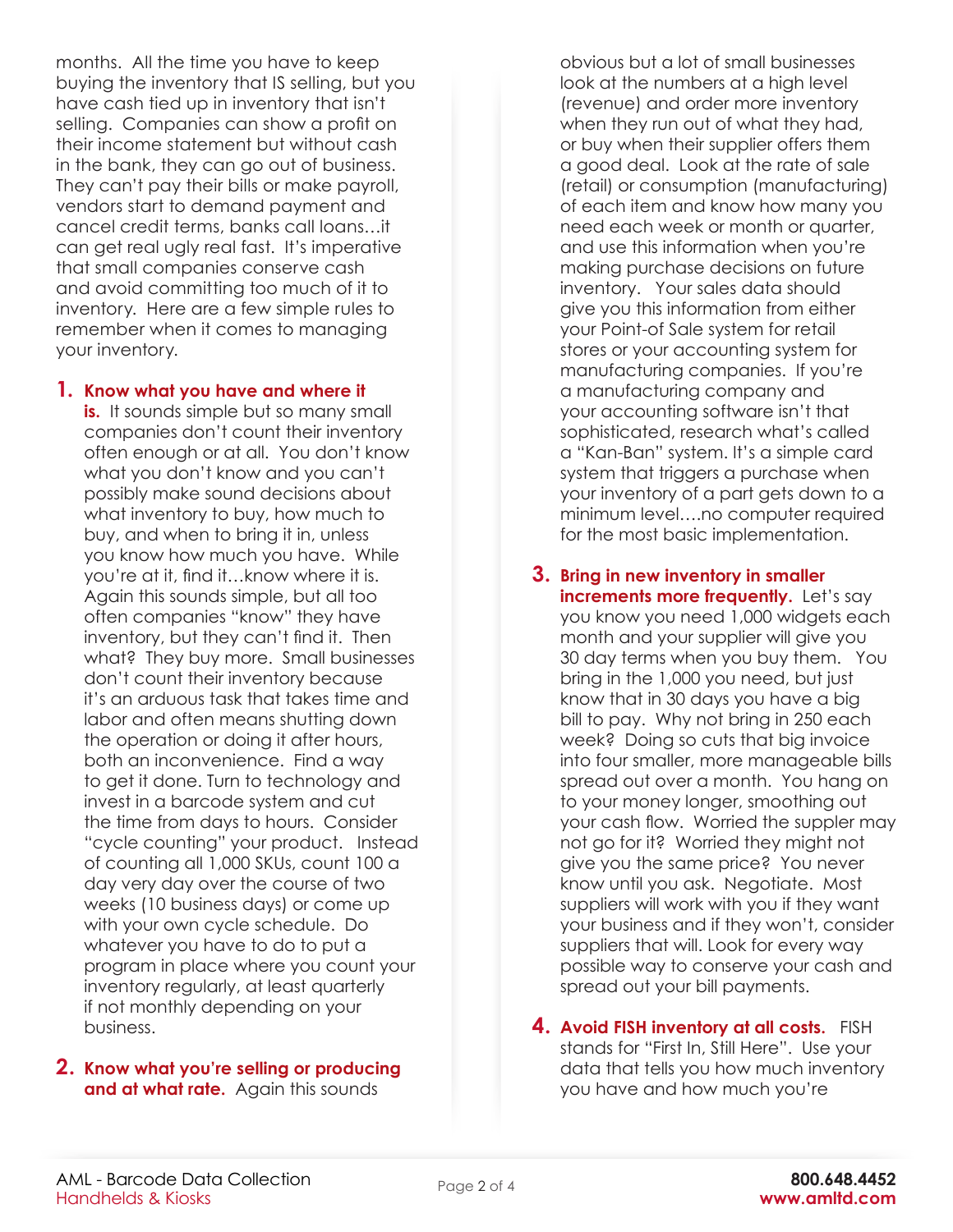months. All the time you have to keep buying the inventory that IS selling, but you have cash tied up in inventory that isn't selling. Companies can show a profit on their income statement but without cash in the bank, they can go out of business. They can't pay their bills or make payroll, vendors start to demand payment and cancel credit terms, banks call loans…it can get real ugly real fast. It's imperative that small companies conserve cash and avoid committing too much of it to inventory. Here are a few simple rules to remember when it comes to managing your inventory.

## **1. Know what you have and where it**

**is.** It sounds simple but so many small companies don't count their inventory often enough or at all. You don't know what you don't know and you can't possibly make sound decisions about what inventory to buy, how much to buy, and when to bring it in, unless you know how much you have. While you're at it, find it…know where it is. Again this sounds simple, but all too often companies "know" they have inventory, but they can't find it. Then what? They buy more. Small businesses don't count their inventory because it's an arduous task that takes time and labor and often means shutting down the operation or doing it after hours, both an inconvenience. Find a way to get it done. Turn to technology and invest in a barcode system and cut the time from days to hours. Consider "cycle counting" your product. Instead of counting all 1,000 SKUs, count 100 a day very day over the course of two weeks (10 business days) or come up with your own cycle schedule. Do whatever you have to do to put a program in place where you count your inventory regularly, at least quarterly if not monthly depending on your business.

## **2. Know what you're selling or producing and at what rate.** Again this sounds

obvious but a lot of small businesses look at the numbers at a high level (revenue) and order more inventory when they run out of what they had, or buy when their supplier offers them a good deal. Look at the rate of sale (retail) or consumption (manufacturing) of each item and know how many you need each week or month or quarter, and use this information when you're making purchase decisions on future inventory. Your sales data should give you this information from either your Point-of Sale system for retail stores or your accounting system for manufacturing companies. If you're a manufacturing company and your accounting software isn't that sophisticated, research what's called a "Kan-Ban" system. It's a simple card system that triggers a purchase when your inventory of a part gets down to a minimum level….no computer required for the most basic implementation.

- **3. Bring in new inventory in smaller increments more frequently.** Let's say you know you need 1,000 widgets each month and your supplier will give you 30 day terms when you buy them. You bring in the 1,000 you need, but just know that in 30 days you have a big bill to pay. Why not bring in 250 each week? Doing so cuts that big invoice into four smaller, more manageable bills spread out over a month. You hang on to your money longer, smoothing out your cash flow. Worried the suppler may not go for it? Worried they might not give you the same price? You never know until you ask. Negotiate. Most suppliers will work with you if they want your business and if they won't, consider suppliers that will. Look for every way possible way to conserve your cash and spread out your bill payments.
- **4. Avoid FISH inventory at all costs.** FISH stands for "First In, Still Here". Use your data that tells you how much inventory you have and how much you're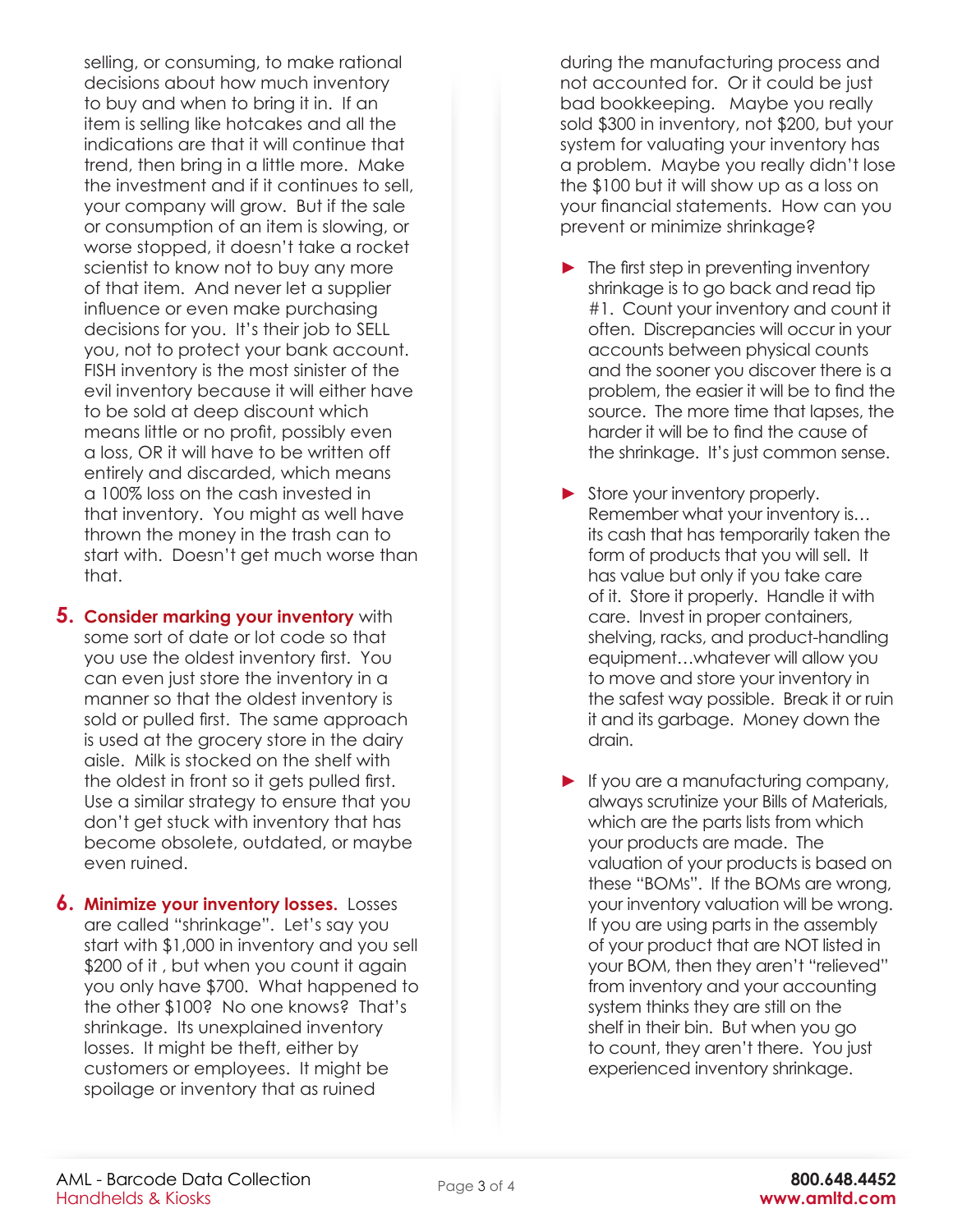selling, or consuming, to make rational decisions about how much inventory to buy and when to bring it in. If an item is selling like hotcakes and all the indications are that it will continue that trend, then bring in a little more. Make the investment and if it continues to sell, your company will grow. But if the sale or consumption of an item is slowing, or worse stopped, it doesn't take a rocket scientist to know not to buy any more of that item. And never let a supplier influence or even make purchasing decisions for you. It's their job to SELL you, not to protect your bank account. FISH inventory is the most sinister of the evil inventory because it will either have to be sold at deep discount which means little or no profit, possibly even a loss, OR it will have to be written off entirely and discarded, which means a 100% loss on the cash invested in that inventory. You might as well have thrown the money in the trash can to start with. Doesn't get much worse than that.

- **5. Consider marking your inventory** with some sort of date or lot code so that you use the oldest inventory first. You can even just store the inventory in a manner so that the oldest inventory is sold or pulled first. The same approach is used at the grocery store in the dairy aisle. Milk is stocked on the shelf with the oldest in front so it gets pulled first. Use a similar strategy to ensure that you don't get stuck with inventory that has become obsolete, outdated, or maybe even ruined.
- **6. Minimize your inventory losses.** Losses are called "shrinkage". Let's say you start with \$1,000 in inventory and you sell \$200 of it , but when you count it again you only have \$700. What happened to the other \$100? No one knows? That's shrinkage. Its unexplained inventory losses. It might be theft, either by customers or employees. It might be spoilage or inventory that as ruined

during the manufacturing process and not accounted for. Or it could be just bad bookkeeping. Maybe you really sold \$300 in inventory, not \$200, but your system for valuating your inventory has a problem. Maybe you really didn't lose the \$100 but it will show up as a loss on your financial statements. How can you prevent or minimize shrinkage?

- **►** The first step in preventing inventory shrinkage is to go back and read tip #1. Count your inventory and count it often. Discrepancies will occur in your accounts between physical counts and the sooner you discover there is a problem, the easier it will be to find the source. The more time that lapses, the harder it will be to find the cause of the shrinkage. It's just common sense.
- **►** Store your inventory properly. Remember what your inventory is… its cash that has temporarily taken the form of products that you will sell. It has value but only if you take care of it. Store it properly. Handle it with care. Invest in proper containers, shelving, racks, and product-handling equipment…whatever will allow you to move and store your inventory in the safest way possible. Break it or ruin it and its garbage. Money down the drain.
- **►** If you are a manufacturing company, always scrutinize your Bills of Materials, which are the parts lists from which your products are made. The valuation of your products is based on these "BOMs". If the BOMs are wrong, your inventory valuation will be wrong. If you are using parts in the assembly of your product that are NOT listed in your BOM, then they aren't "relieved" from inventory and your accounting system thinks they are still on the shelf in their bin. But when you go to count, they aren't there. You just experienced inventory shrinkage.